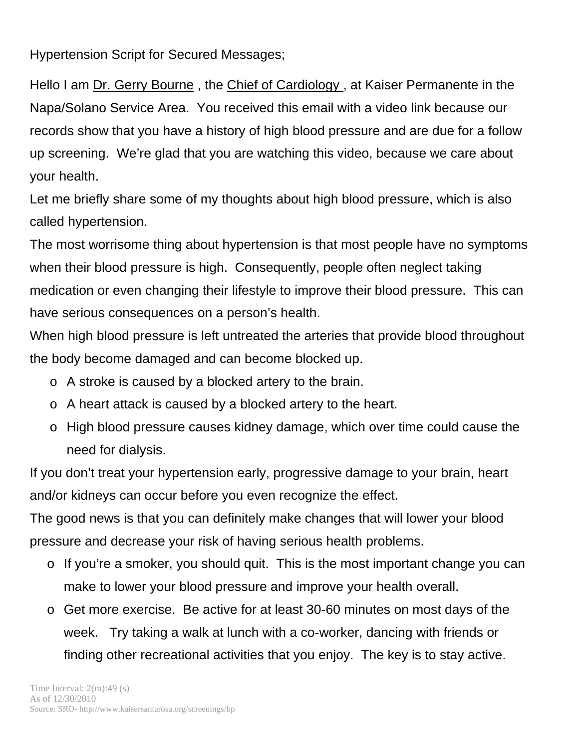Hypertension Script for Secured Messages;

Hello I am Dr. Gerry Bourne , the Chief of Cardiology , at Kaiser Permanente in the Napa/Solano Service Area. You received this email with a video link because our records show that you have a history of high blood pressure and are due for a follow up screening. We're glad that you are watching this video, because we care about your health.

Let me briefly share some of my thoughts about high blood pressure, which is also called hypertension.

The most worrisome thing about hypertension is that most people have no symptoms when their blood pressure is high. Consequently, people often neglect taking medication or even changing their lifestyle to improve their blood pressure. This can have serious consequences on a person's health.

When high blood pressure is left untreated the arteries that provide blood throughout the body become damaged and can become blocked up.

- o A stroke is caused by a blocked artery to the brain.
- o A heart attack is caused by a blocked artery to the heart.
- o High blood pressure causes kidney damage, which over time could cause the need for dialysis.

If you don't treat your hypertension early, progressive damage to your brain, heart and/or kidneys can occur before you even recognize the effect.

The good news is that you can definitely make changes that will lower your blood pressure and decrease your risk of having serious health problems.

- o If you're a smoker, you should quit. This is the most important change you can make to lower your blood pressure and improve your health overall.
- o Get more exercise. Be active for at least 30-60 minutes on most days of the week. Try taking a walk at lunch with a co-worker, dancing with friends or finding other recreational activities that you enjoy. The key is to stay active.